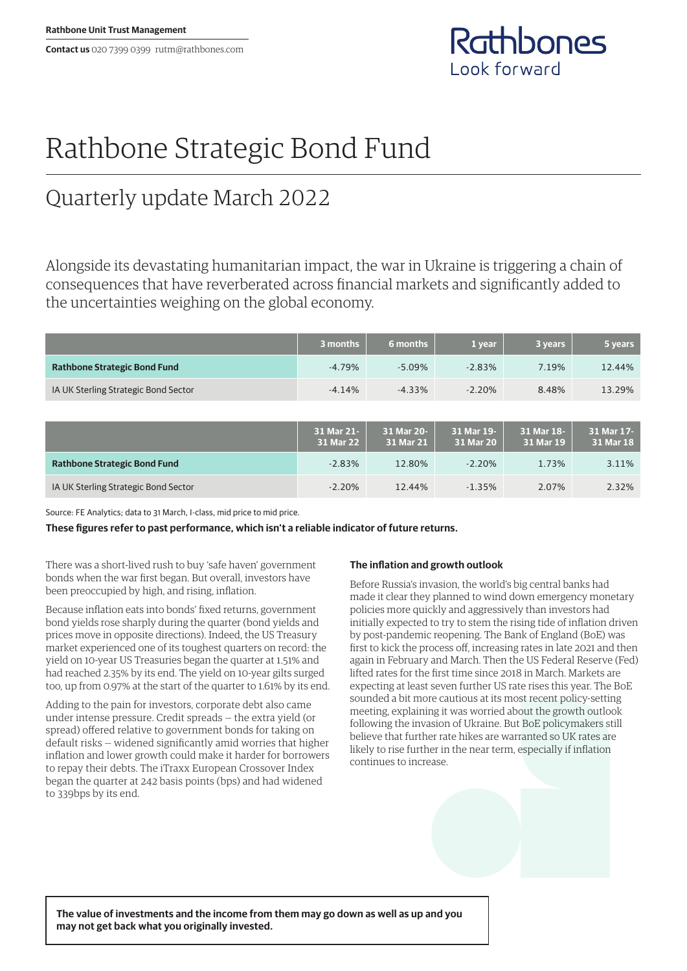**Contact us** 020 7399 0399 rutm@rathbones.com



# Rathbone Strategic Bond Fund

## Quarterly update March 2022

Alongside its devastating humanitarian impact, the war in Ukraine is triggering a chain of consequences that have reverberated across financial markets and significantly added to the uncertainties weighing on the global economy.

|                                      | 3 months                | 6 months                | 1 year                  | 3 years                 | 5 years                 |
|--------------------------------------|-------------------------|-------------------------|-------------------------|-------------------------|-------------------------|
| <b>Rathbone Strategic Bond Fund</b>  | $-4.79%$                | $-5.09%$                | $-2.83%$                | 7.19%                   | 12.44%                  |
| IA UK Sterling Strategic Bond Sector | $-4.14%$                | $-4.33%$                | $-2.20%$                | 8.48%                   | 13.29%                  |
|                                      |                         |                         |                         |                         |                         |
|                                      | 31 Mar 21-<br>31 Mar 22 | 31 Mar 20-<br>31 Mar 21 | 31 Mar 19-<br>31 Mar 20 | 31 Mar 18-<br>31 Mar 19 | 31 Mar 17-<br>31 Mar 18 |
| <b>Rathbone Strategic Bond Fund</b>  | $-2.83%$                | 12.80%                  | $-2.20%$                | 1.73%                   | 3.11%                   |
| IA UK Sterling Strategic Bond Sector | $-2.20%$                | 12.44%                  | $-1.35%$                | 2.07%                   | 2.32%                   |

Source: FE Analytics; data to 31 March, I-class, mid price to mid price.

**These figures refer to past performance, which isn't a reliable indicator of future returns.**

There was a short-lived rush to buy 'safe haven' government bonds when the war first began. But overall, investors have been preoccupied by high, and rising, inflation.

Because inflation eats into bonds' fixed returns, government bond yields rose sharply during the quarter (bond yields and prices move in opposite directions). Indeed, the US Treasury market experienced one of its toughest quarters on record: the yield on 10-year US Treasuries began the quarter at 1.51% and had reached 2.35% by its end. The yield on 10-year gilts surged too, up from 0.97% at the start of the quarter to 1.61% by its end.

Adding to the pain for investors, corporate debt also came under intense pressure. Credit spreads — the extra yield (or spread) offered relative to government bonds for taking on default risks — widened significantly amid worries that higher inflation and lower growth could make it harder for borrowers to repay their debts. The iTraxx European Crossover Index began the quarter at 242 basis points (bps) and had widened to 339bps by its end.

### **The inflation and growth outlook**

Before Russia's invasion, the world's big central banks had made it clear they planned to wind down emergency monetary policies more quickly and aggressively than investors had initially expected to try to stem the rising tide of inflation driven by post-pandemic reopening. The Bank of England (BoE) was first to kick the process off, increasing rates in late 2021 and then again in February and March. Then the US Federal Reserve (Fed) lifted rates for the first time since 2018 in March. Markets are expecting at least seven further US rate rises this year. The BoE sounded a bit more cautious at its most recent policy-setting meeting, explaining it was worried about the growth outlook following the invasion of Ukraine. But BoE policymakers still believe that further rate hikes are warranted so UK rates are likely to rise further in the near term, especially if inflation continues to increase.

**The value of investments and the income from them may go down as well as up and you may not get back what you originally invested.**